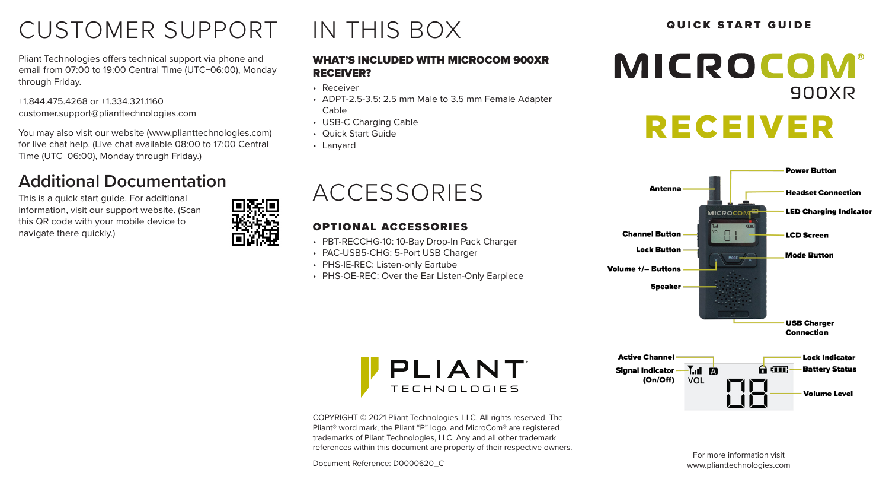# CUSTOMER SUPPORT IN THIS BOX **SULFARE GUIDE**

Pliant Technologies offers technical support via phone and email from 07:00 to 19:00 Central Time (UTC−06:00), Monday through Friday.

+1.844.475.4268 or +1.334.321.1160 customer.support@plianttechnologies.com

You may also visit our website (www.plianttechnologies.com) for live chat help. (Live chat available 08:00 to 17:00 Central Time (UTC−06:00), Monday through Friday.)

## **Additional Documentation**

This is a quick start quide. For additional information, visit our support website. (Scan this QR code with your mobile device to navigate there quickly.)



#### WHAT'S INCLUDED WITH MICROCOM 900XR RECEIVER?

- Receiver
- ADPT-2.5-3.5: 2.5 mm Male to 3.5 mm Female Adapter Cable
- USB-C Charging Cable
- Quick Start Guide
- Lanyard

# ACCESSORIES

### OPTIONAL ACCESSORIES

- PBT-RECCHG-10: 10-Bay Drop-In Pack Charger
- PAC-USB5-CHG: 5-Port USB Charger
- PHS-IE-REC: Listen-only Eartube
- PHS-OE-REC: Over the Ear Listen-Only Earpiece



# RECEIVER



**Lock Indicator** 

**Battery Status** 

**Volume Level** 



COPYRIGHT © 2021 Pliant Technologies, LLC. All rights reserved. The Pliant® word mark, the Pliant "P" logo, and MicroCom® are registered trademarks of Pliant Technologies, LLC. Any and all other trademark references within this document are property of their respective owners.

Document Reference: D0000620\_C

For more information visit www.plianttechnologies.com

A 60.

- T.J. P.

VOL

**Signal Indicator -**(On/Off)